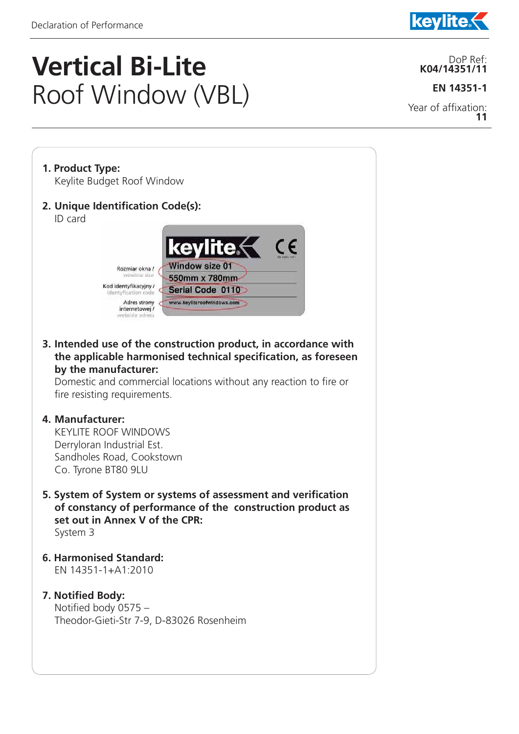j



## **Vertical Bi-Lite**  Roof Window (VBL)

DoP Ref: **K04/14351/11**

**EN 14351-1**

Year of affixation: **11**

**1. Product Type:**  Keylite Budget Roof Window **2. Unique Identification Code(s):**  ID card



**3. Intended use of the construction product, in accordance with the applicable harmonised technical specification, as foreseen by the manufacturer:** 

Domestic and commercial locations without any reaction to fire or fire resisting requirements.

## **4. Manufacturer:**

 KEYLITE ROOF WINDOWS Derryloran Industrial Est. Sandholes Road, Cookstown Co. Tyrone BT80 9LU

- **5. System of System or systems of assessment and verification of constancy of performance of the construction product as set out in Annex V of the CPR:** System 3
- **6. Harmonised Standard:** EN 14351-1+A1:2010
- **7. Notified Body:**  Notified body 0575 – Theodor-Gieti-Str 7-9, D-83026 Rosenheim